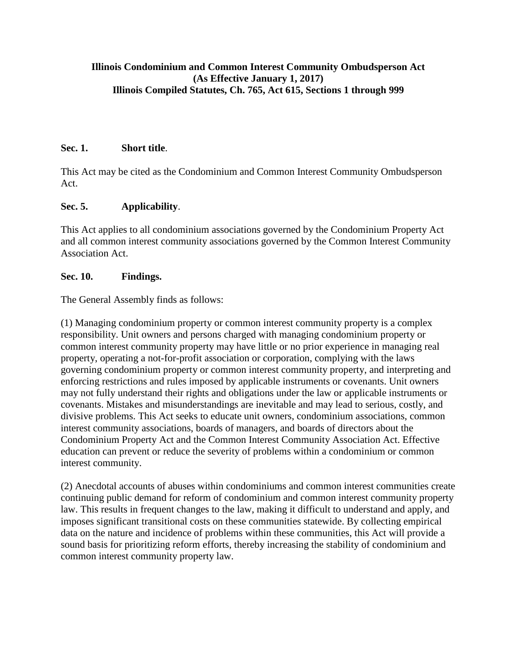### **Illinois Condominium and Common Interest Community Ombudsperson Act (As Effective January 1, 2017) Illinois Compiled Statutes, Ch. 765, Act 615, Sections 1 through 999**

### **Sec. 1. Short title**.

This Act may be cited as the Condominium and Common Interest Community Ombudsperson Act.

### **Sec. 5. Applicability**.

This Act applies to all condominium associations governed by the Condominium Property Act and all common interest community associations governed by the Common Interest Community Association Act.

#### **Sec. 10. Findings.**

The General Assembly finds as follows:

(1) Managing condominium property or common interest community property is a complex responsibility. Unit owners and persons charged with managing condominium property or common interest community property may have little or no prior experience in managing real property, operating a not-for-profit association or corporation, complying with the laws governing condominium property or common interest community property, and interpreting and enforcing restrictions and rules imposed by applicable instruments or covenants. Unit owners may not fully understand their rights and obligations under the law or applicable instruments or covenants. Mistakes and misunderstandings are inevitable and may lead to serious, costly, and divisive problems. This Act seeks to educate unit owners, condominium associations, common interest community associations, boards of managers, and boards of directors about the Condominium Property Act and the Common Interest Community Association Act. Effective education can prevent or reduce the severity of problems within a condominium or common interest community.

(2) Anecdotal accounts of abuses within condominiums and common interest communities create continuing public demand for reform of condominium and common interest community property law. This results in frequent changes to the law, making it difficult to understand and apply, and imposes significant transitional costs on these communities statewide. By collecting empirical data on the nature and incidence of problems within these communities, this Act will provide a sound basis for prioritizing reform efforts, thereby increasing the stability of condominium and common interest community property law.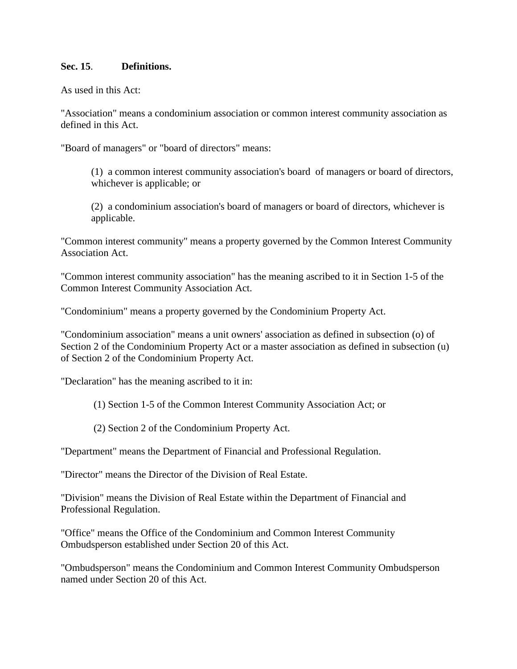#### **Sec. 15**. **Definitions.**

As used in this Act:

"Association" means a condominium association or common interest community association as defined in this Act.

"Board of managers" or "board of directors" means:

(1) a common interest community association's board of managers or board of directors, whichever is applicable; or

(2) a condominium association's board of managers or board of directors, whichever is applicable.

"Common interest community" means a property governed by the Common Interest Community Association Act.

"Common interest community association" has the meaning ascribed to it in Section 1-5 of the Common Interest Community Association Act.

"Condominium" means a property governed by the Condominium Property Act.

"Condominium association" means a unit owners' association as defined in subsection (o) of Section 2 of the Condominium Property Act or a master association as defined in subsection (u) of Section 2 of the Condominium Property Act.

"Declaration" has the meaning ascribed to it in:

- (1) Section 1-5 of the Common Interest Community Association Act; or
- (2) Section 2 of the Condominium Property Act.

"Department" means the Department of Financial and Professional Regulation.

"Director" means the Director of the Division of Real Estate.

"Division" means the Division of Real Estate within the Department of Financial and Professional Regulation.

"Office" means the Office of the Condominium and Common Interest Community Ombudsperson established under Section 20 of this Act.

"Ombudsperson" means the Condominium and Common Interest Community Ombudsperson named under Section 20 of this Act.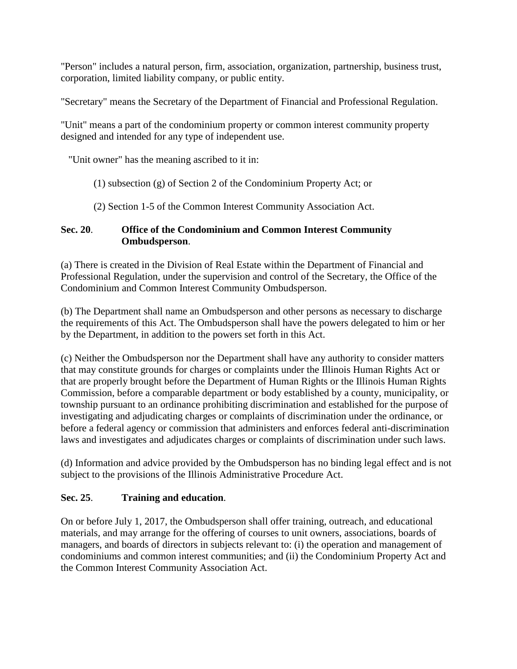"Person" includes a natural person, firm, association, organization, partnership, business trust, corporation, limited liability company, or public entity.

"Secretary" means the Secretary of the Department of Financial and Professional Regulation.

"Unit" means a part of the condominium property or common interest community property designed and intended for any type of independent use.

"Unit owner" has the meaning ascribed to it in:

- (1) subsection (g) of Section 2 of the Condominium Property Act; or
- (2) Section 1-5 of the Common Interest Community Association Act.

## **Sec. 20**. **Office of the Condominium and Common Interest Community Ombudsperson**.

(a) There is created in the Division of Real Estate within the Department of Financial and Professional Regulation, under the supervision and control of the Secretary, the Office of the Condominium and Common Interest Community Ombudsperson.

(b) The Department shall name an Ombudsperson and other persons as necessary to discharge the requirements of this Act. The Ombudsperson shall have the powers delegated to him or her by the Department, in addition to the powers set forth in this Act.

(c) Neither the Ombudsperson nor the Department shall have any authority to consider matters that may constitute grounds for charges or complaints under the Illinois Human Rights Act or that are properly brought before the Department of Human Rights or the Illinois Human Rights Commission, before a comparable department or body established by a county, municipality, or township pursuant to an ordinance prohibiting discrimination and established for the purpose of investigating and adjudicating charges or complaints of discrimination under the ordinance, or before a federal agency or commission that administers and enforces federal anti-discrimination laws and investigates and adjudicates charges or complaints of discrimination under such laws.

(d) Information and advice provided by the Ombudsperson has no binding legal effect and is not subject to the provisions of the Illinois Administrative Procedure Act.

# **Sec. 25**. **Training and education**.

On or before July 1, 2017, the Ombudsperson shall offer training, outreach, and educational materials, and may arrange for the offering of courses to unit owners, associations, boards of managers, and boards of directors in subjects relevant to: (i) the operation and management of condominiums and common interest communities; and (ii) the Condominium Property Act and the Common Interest Community Association Act.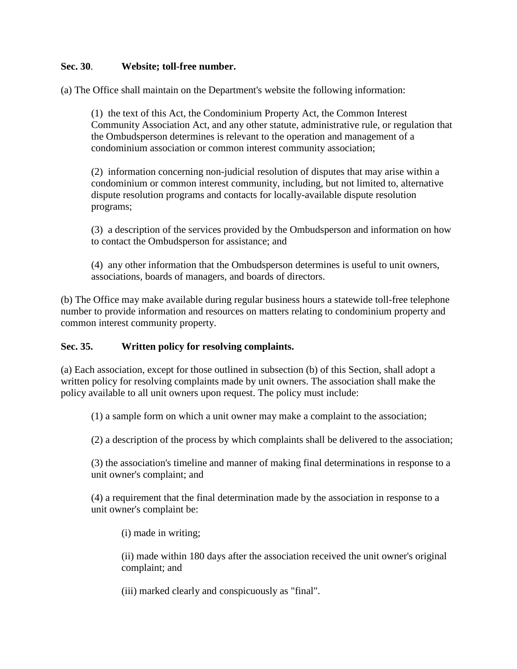### **Sec. 30**. **Website; toll-free number.**

(a) The Office shall maintain on the Department's website the following information:

(1) the text of this Act, the Condominium Property Act, the Common Interest Community Association Act, and any other statute, administrative rule, or regulation that the Ombudsperson determines is relevant to the operation and management of a condominium association or common interest community association;

(2) information concerning non-judicial resolution of disputes that may arise within a condominium or common interest community, including, but not limited to, alternative dispute resolution programs and contacts for locally-available dispute resolution programs;

(3) a description of the services provided by the Ombudsperson and information on how to contact the Ombudsperson for assistance; and

(4) any other information that the Ombudsperson determines is useful to unit owners, associations, boards of managers, and boards of directors.

(b) The Office may make available during regular business hours a statewide toll-free telephone number to provide information and resources on matters relating to condominium property and common interest community property.

### **Sec. 35. Written policy for resolving complaints.**

(a) Each association, except for those outlined in subsection (b) of this Section, shall adopt a written policy for resolving complaints made by unit owners. The association shall make the policy available to all unit owners upon request. The policy must include:

(1) a sample form on which a unit owner may make a complaint to the association;

(2) a description of the process by which complaints shall be delivered to the association;

(3) the association's timeline and manner of making final determinations in response to a unit owner's complaint; and

(4) a requirement that the final determination made by the association in response to a unit owner's complaint be:

(i) made in writing;

(ii) made within 180 days after the association received the unit owner's original complaint; and

(iii) marked clearly and conspicuously as "final".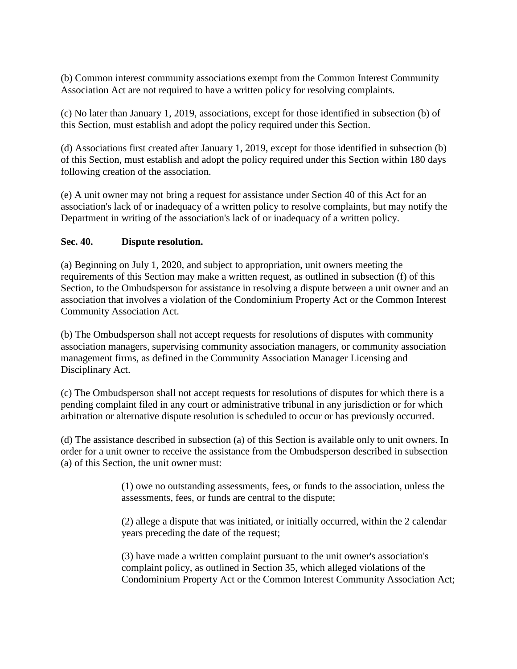(b) Common interest community associations exempt from the Common Interest Community Association Act are not required to have a written policy for resolving complaints.

(c) No later than January 1, 2019, associations, except for those identified in subsection (b) of this Section, must establish and adopt the policy required under this Section.

(d) Associations first created after January 1, 2019, except for those identified in subsection (b) of this Section, must establish and adopt the policy required under this Section within 180 days following creation of the association.

(e) A unit owner may not bring a request for assistance under Section 40 of this Act for an association's lack of or inadequacy of a written policy to resolve complaints, but may notify the Department in writing of the association's lack of or inadequacy of a written policy.

### **Sec. 40. Dispute resolution.**

(a) Beginning on July 1, 2020, and subject to appropriation, unit owners meeting the requirements of this Section may make a written request, as outlined in subsection (f) of this Section, to the Ombudsperson for assistance in resolving a dispute between a unit owner and an association that involves a violation of the Condominium Property Act or the Common Interest Community Association Act.

(b) The Ombudsperson shall not accept requests for resolutions of disputes with community association managers, supervising community association managers, or community association management firms, as defined in the Community Association Manager Licensing and Disciplinary Act.

(c) The Ombudsperson shall not accept requests for resolutions of disputes for which there is a pending complaint filed in any court or administrative tribunal in any jurisdiction or for which arbitration or alternative dispute resolution is scheduled to occur or has previously occurred.

(d) The assistance described in subsection (a) of this Section is available only to unit owners. In order for a unit owner to receive the assistance from the Ombudsperson described in subsection (a) of this Section, the unit owner must:

> (1) owe no outstanding assessments, fees, or funds to the association, unless the assessments, fees, or funds are central to the dispute;

> (2) allege a dispute that was initiated, or initially occurred, within the 2 calendar years preceding the date of the request;

(3) have made a written complaint pursuant to the unit owner's association's complaint policy, as outlined in Section 35, which alleged violations of the Condominium Property Act or the Common Interest Community Association Act;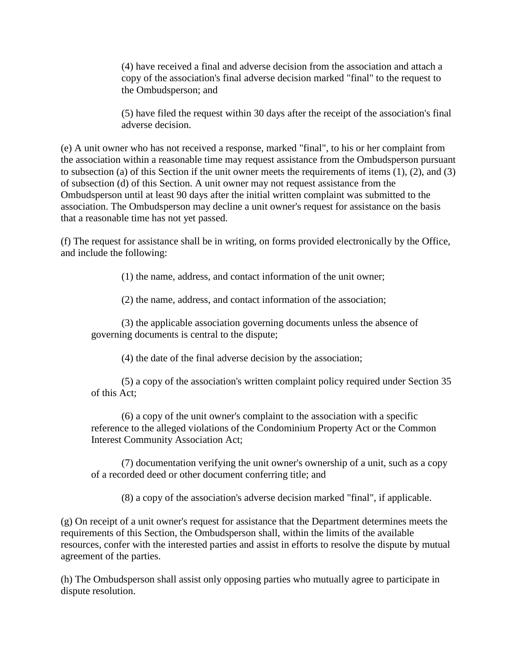(4) have received a final and adverse decision from the association and attach a copy of the association's final adverse decision marked "final" to the request to the Ombudsperson; and

(5) have filed the request within 30 days after the receipt of the association's final adverse decision.

(e) A unit owner who has not received a response, marked "final", to his or her complaint from the association within a reasonable time may request assistance from the Ombudsperson pursuant to subsection (a) of this Section if the unit owner meets the requirements of items (1), (2), and (3) of subsection (d) of this Section. A unit owner may not request assistance from the Ombudsperson until at least 90 days after the initial written complaint was submitted to the association. The Ombudsperson may decline a unit owner's request for assistance on the basis that a reasonable time has not yet passed.

(f) The request for assistance shall be in writing, on forms provided electronically by the Office, and include the following:

(1) the name, address, and contact information of the unit owner;

(2) the name, address, and contact information of the association;

(3) the applicable association governing documents unless the absence of governing documents is central to the dispute;

(4) the date of the final adverse decision by the association;

(5) a copy of the association's written complaint policy required under Section 35 of this Act;

(6) a copy of the unit owner's complaint to the association with a specific reference to the alleged violations of the Condominium Property Act or the Common Interest Community Association Act;

(7) documentation verifying the unit owner's ownership of a unit, such as a copy of a recorded deed or other document conferring title; and

(8) a copy of the association's adverse decision marked "final", if applicable.

(g) On receipt of a unit owner's request for assistance that the Department determines meets the requirements of this Section, the Ombudsperson shall, within the limits of the available resources, confer with the interested parties and assist in efforts to resolve the dispute by mutual agreement of the parties.

(h) The Ombudsperson shall assist only opposing parties who mutually agree to participate in dispute resolution.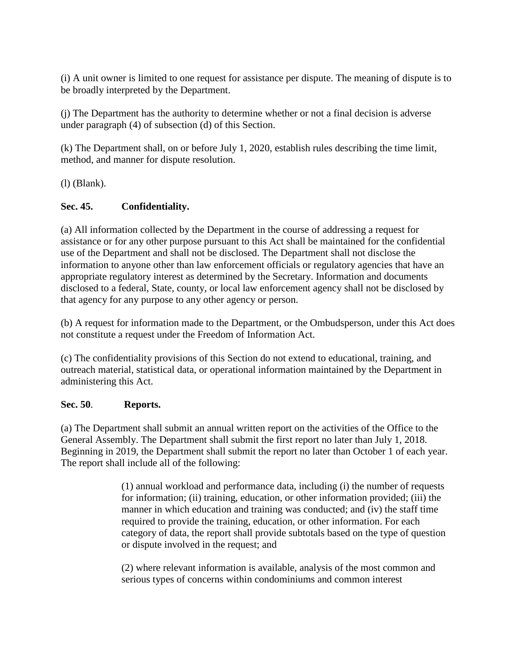(i) A unit owner is limited to one request for assistance per dispute. The meaning of dispute is to be broadly interpreted by the Department.

(j) The Department has the authority to determine whether or not a final decision is adverse under paragraph (4) of subsection (d) of this Section.

(k) The Department shall, on or before July 1, 2020, establish rules describing the time limit, method, and manner for dispute resolution.

(l) (Blank).

# **Sec. 45. Confidentiality.**

(a) All information collected by the Department in the course of addressing a request for assistance or for any other purpose pursuant to this Act shall be maintained for the confidential use of the Department and shall not be disclosed. The Department shall not disclose the information to anyone other than law enforcement officials or regulatory agencies that have an appropriate regulatory interest as determined by the Secretary. Information and documents disclosed to a federal, State, county, or local law enforcement agency shall not be disclosed by that agency for any purpose to any other agency or person.

(b) A request for information made to the Department, or the Ombudsperson, under this Act does not constitute a request under the Freedom of Information Act.

(c) The confidentiality provisions of this Section do not extend to educational, training, and outreach material, statistical data, or operational information maintained by the Department in administering this Act.

# **Sec. 50**. **Reports.**

(a) The Department shall submit an annual written report on the activities of the Office to the General Assembly. The Department shall submit the first report no later than July 1, 2018. Beginning in 2019, the Department shall submit the report no later than October 1 of each year. The report shall include all of the following:

> (1) annual workload and performance data, including (i) the number of requests for information; (ii) training, education, or other information provided; (iii) the manner in which education and training was conducted; and (iv) the staff time required to provide the training, education, or other information. For each category of data, the report shall provide subtotals based on the type of question or dispute involved in the request; and

(2) where relevant information is available, analysis of the most common and serious types of concerns within condominiums and common interest